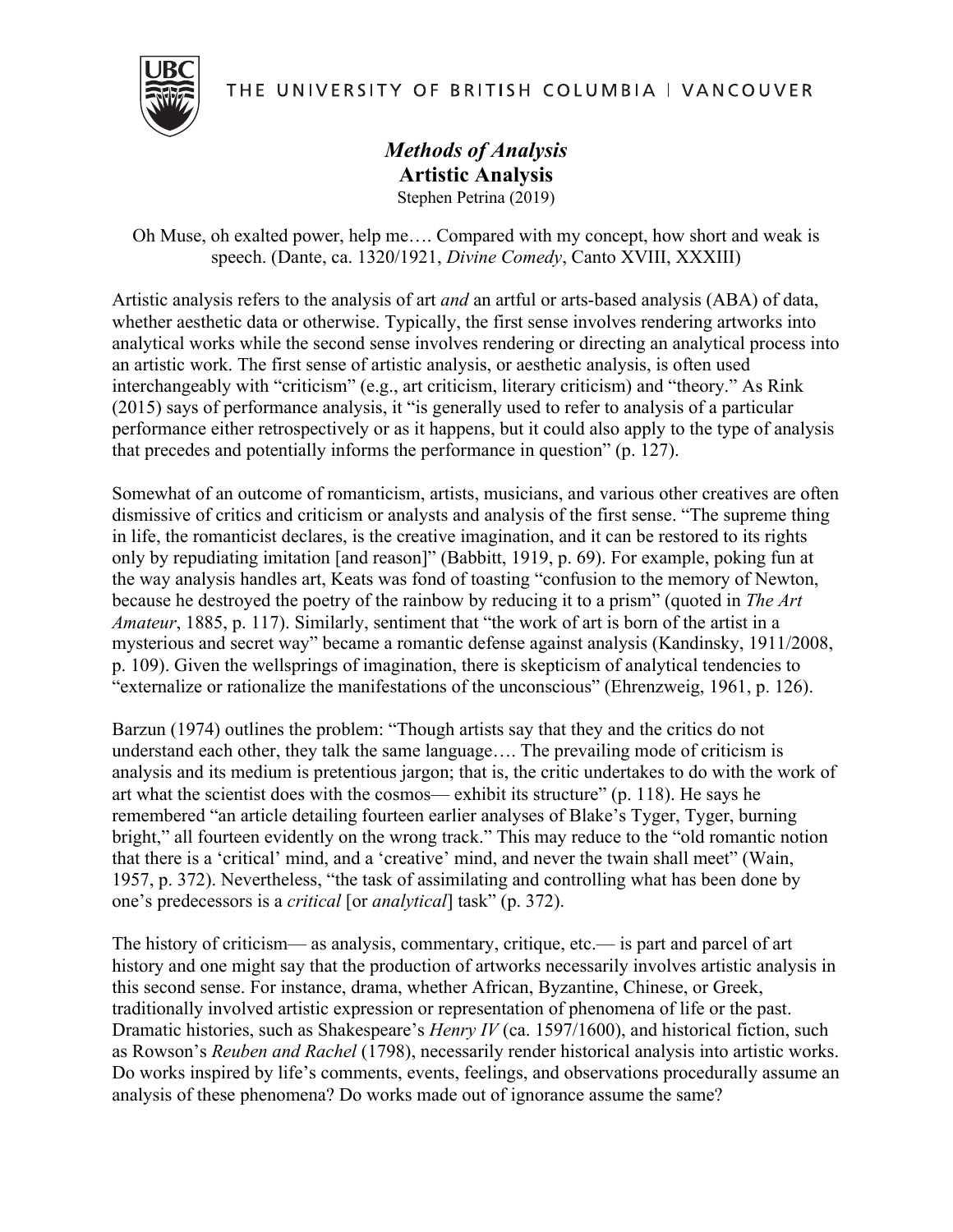THE UNIVERSITY OF BRITISH COLUMBIA | VANCOUVER



## *Methods of Analysis* **Artistic Analysis** Stephen Petrina (2019)

Oh Muse, oh exalted power, help me…. Compared with my concept, how short and weak is speech. (Dante, ca. 1320/1921, *Divine Comedy*, Canto XVIII, XXXIII)

Artistic analysis refers to the analysis of art *and* an artful or arts-based analysis (ABA) of data, whether aesthetic data or otherwise. Typically, the first sense involves rendering artworks into analytical works while the second sense involves rendering or directing an analytical process into an artistic work. The first sense of artistic analysis, or aesthetic analysis, is often used interchangeably with "criticism" (e.g., art criticism, literary criticism) and "theory." As Rink (2015) says of performance analysis, it "is generally used to refer to analysis of a particular performance either retrospectively or as it happens, but it could also apply to the type of analysis that precedes and potentially informs the performance in question" (p. 127).

Somewhat of an outcome of romanticism, artists, musicians, and various other creatives are often dismissive of critics and criticism or analysts and analysis of the first sense. "The supreme thing in life, the romanticist declares, is the creative imagination, and it can be restored to its rights only by repudiating imitation [and reason]" (Babbitt, 1919, p. 69). For example, poking fun at the way analysis handles art, Keats was fond of toasting "confusion to the memory of Newton, because he destroyed the poetry of the rainbow by reducing it to a prism" (quoted in *The Art Amateur*, 1885, p. 117). Similarly, sentiment that "the work of art is born of the artist in a mysterious and secret way" became a romantic defense against analysis (Kandinsky, 1911/2008, p. 109). Given the wellsprings of imagination, there is skepticism of analytical tendencies to "externalize or rationalize the manifestations of the unconscious" (Ehrenzweig, 1961, p. 126).

Barzun (1974) outlines the problem: "Though artists say that they and the critics do not understand each other, they talk the same language…. The prevailing mode of criticism is analysis and its medium is pretentious jargon; that is, the critic undertakes to do with the work of art what the scientist does with the cosmos— exhibit its structure" (p. 118). He says he remembered "an article detailing fourteen earlier analyses of Blake's Tyger, Tyger, burning bright," all fourteen evidently on the wrong track." This may reduce to the "old romantic notion that there is a 'critical' mind, and a 'creative' mind, and never the twain shall meet" (Wain, 1957, p. 372). Nevertheless, "the task of assimilating and controlling what has been done by one's predecessors is a *critical* [or *analytical*] task" (p. 372).

The history of criticism— as analysis, commentary, critique, etc.— is part and parcel of art history and one might say that the production of artworks necessarily involves artistic analysis in this second sense. For instance, drama, whether African, Byzantine, Chinese, or Greek, traditionally involved artistic expression or representation of phenomena of life or the past. Dramatic histories, such as Shakespeare's *Henry IV* (ca. 1597/1600), and historical fiction, such as Rowson's *Reuben and Rachel* (1798), necessarily render historical analysis into artistic works. Do works inspired by life's comments, events, feelings, and observations procedurally assume an analysis of these phenomena? Do works made out of ignorance assume the same?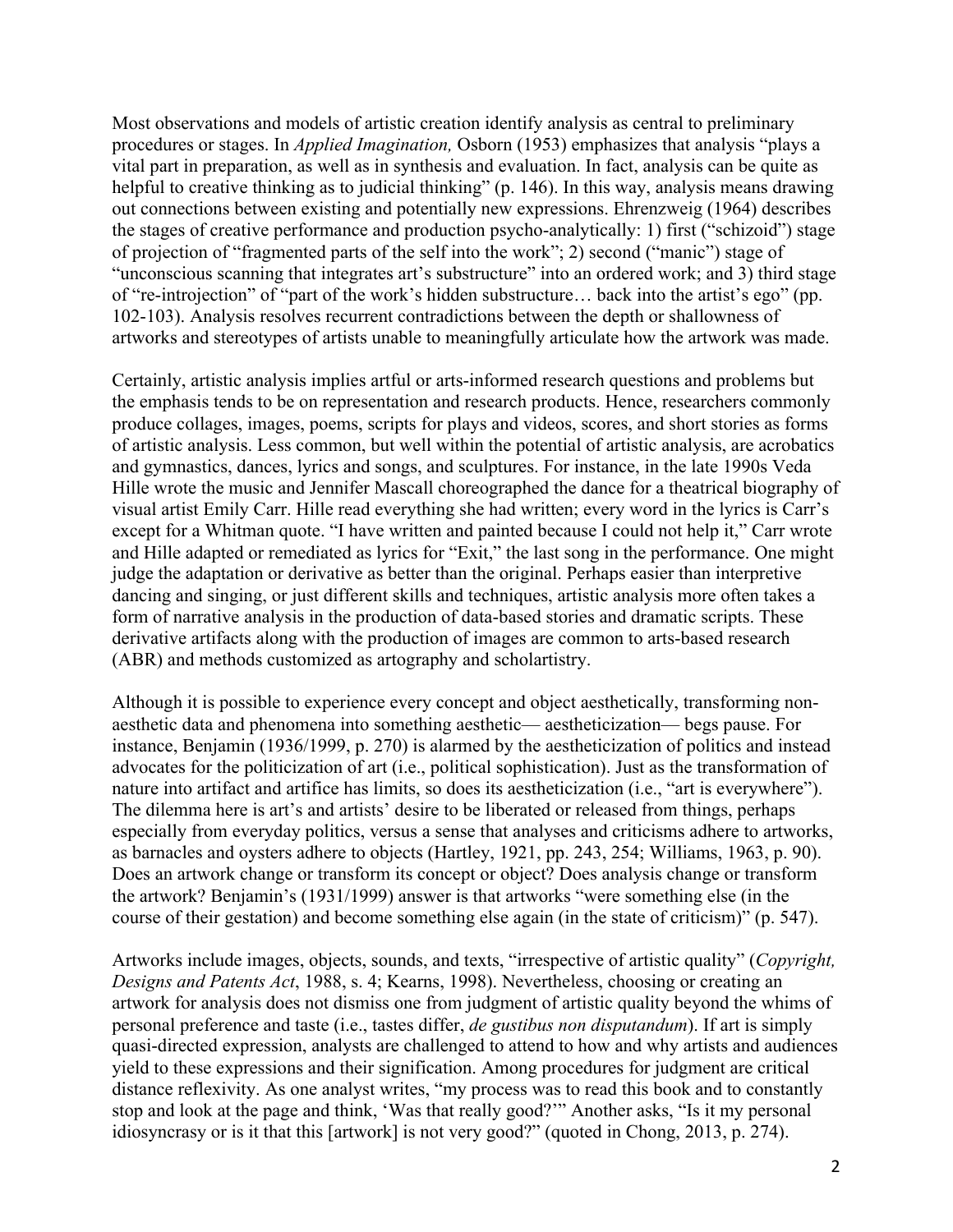Most observations and models of artistic creation identify analysis as central to preliminary procedures or stages. In *Applied Imagination,* Osborn (1953) emphasizes that analysis "plays a vital part in preparation, as well as in synthesis and evaluation. In fact, analysis can be quite as helpful to creative thinking as to judicial thinking" (p. 146). In this way, analysis means drawing out connections between existing and potentially new expressions. Ehrenzweig (1964) describes the stages of creative performance and production psycho-analytically: 1) first ("schizoid") stage of projection of "fragmented parts of the self into the work"; 2) second ("manic") stage of "unconscious scanning that integrates art's substructure" into an ordered work; and 3) third stage of "re-introjection" of "part of the work's hidden substructure… back into the artist's ego" (pp. 102-103). Analysis resolves recurrent contradictions between the depth or shallowness of artworks and stereotypes of artists unable to meaningfully articulate how the artwork was made.

Certainly, artistic analysis implies artful or arts-informed research questions and problems but the emphasis tends to be on representation and research products. Hence, researchers commonly produce collages, images, poems, scripts for plays and videos, scores, and short stories as forms of artistic analysis. Less common, but well within the potential of artistic analysis, are acrobatics and gymnastics, dances, lyrics and songs, and sculptures. For instance, in the late 1990s Veda Hille wrote the music and Jennifer Mascall choreographed the dance for a theatrical biography of visual artist Emily Carr. Hille read everything she had written; every word in the lyrics is Carr's except for a Whitman quote. "I have written and painted because I could not help it," Carr wrote and Hille adapted or remediated as lyrics for "Exit," the last song in the performance. One might judge the adaptation or derivative as better than the original. Perhaps easier than interpretive dancing and singing, or just different skills and techniques, artistic analysis more often takes a form of narrative analysis in the production of data-based stories and dramatic scripts. These derivative artifacts along with the production of images are common to arts-based research (ABR) and methods customized as artography and scholartistry.

Although it is possible to experience every concept and object aesthetically, transforming nonaesthetic data and phenomena into something aesthetic— aestheticization— begs pause. For instance, Benjamin (1936/1999, p. 270) is alarmed by the aestheticization of politics and instead advocates for the politicization of art (i.e., political sophistication). Just as the transformation of nature into artifact and artifice has limits, so does its aestheticization (i.e., "art is everywhere"). The dilemma here is art's and artists' desire to be liberated or released from things, perhaps especially from everyday politics, versus a sense that analyses and criticisms adhere to artworks, as barnacles and oysters adhere to objects (Hartley, 1921, pp. 243, 254; Williams, 1963, p. 90). Does an artwork change or transform its concept or object? Does analysis change or transform the artwork? Benjamin's (1931/1999) answer is that artworks "were something else (in the course of their gestation) and become something else again (in the state of criticism)" (p. 547).

Artworks include images, objects, sounds, and texts, "irrespective of artistic quality" (*Copyright, Designs and Patents Act*, 1988, s. 4; Kearns, 1998). Nevertheless, choosing or creating an artwork for analysis does not dismiss one from judgment of artistic quality beyond the whims of personal preference and taste (i.e., tastes differ, *de gustibus non disputandum*). If art is simply quasi-directed expression, analysts are challenged to attend to how and why artists and audiences yield to these expressions and their signification. Among procedures for judgment are critical distance reflexivity. As one analyst writes, "my process was to read this book and to constantly stop and look at the page and think, 'Was that really good?'" Another asks, "Is it my personal idiosyncrasy or is it that this [artwork] is not very good?" (quoted in Chong, 2013, p. 274).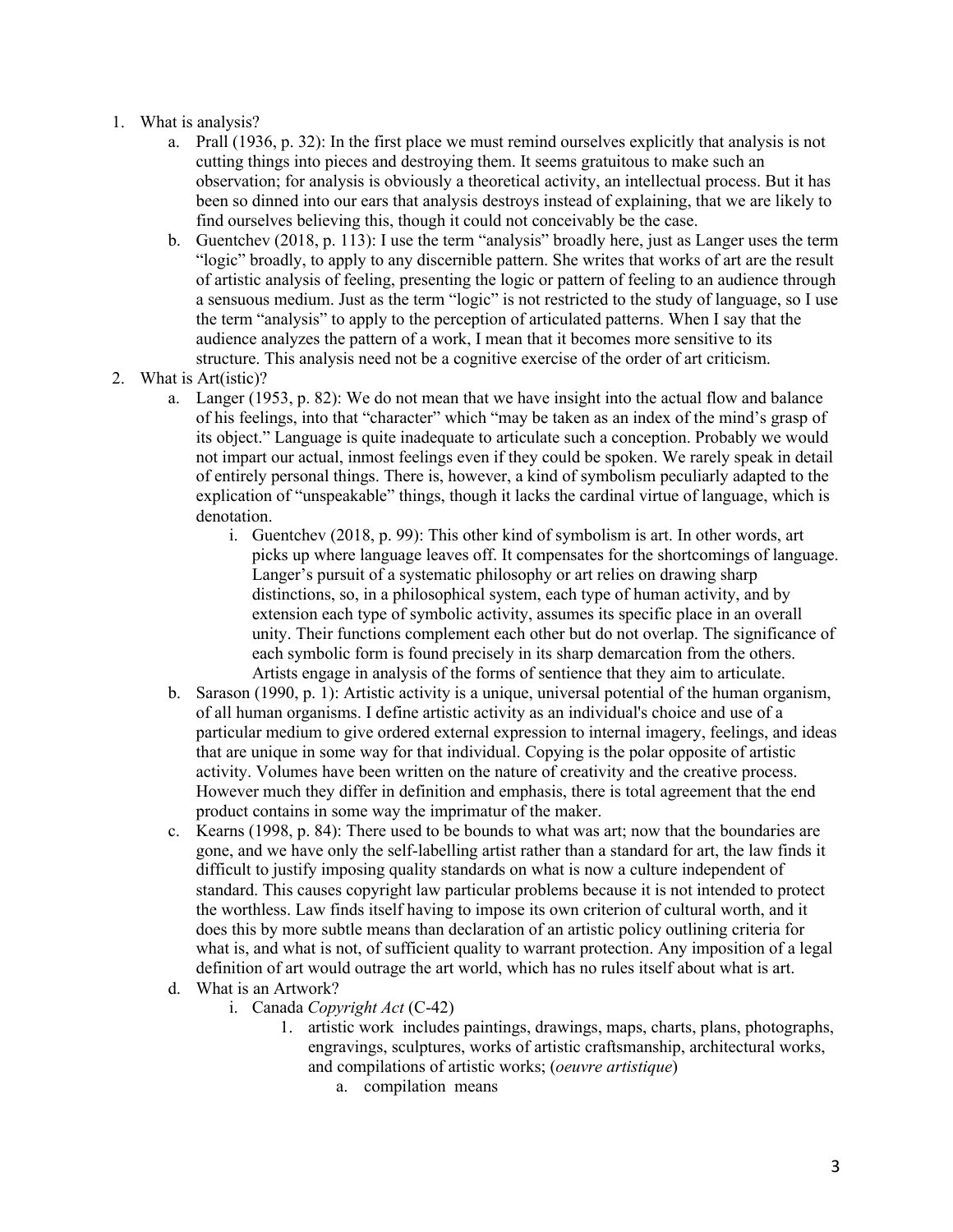- 1. What is analysis?
	- a. Prall (1936, p. 32): In the first place we must remind ourselves explicitly that analysis is not cutting things into pieces and destroying them. It seems gratuitous to make such an observation; for analysis is obviously a theoretical activity, an intellectual process. But it has been so dinned into our ears that analysis destroys instead of explaining, that we are likely to find ourselves believing this, though it could not conceivably be the case.
	- b. Guentchev (2018, p. 113): I use the term "analysis" broadly here, just as Langer uses the term "logic" broadly, to apply to any discernible pattern. She writes that works of art are the result of artistic analysis of feeling, presenting the logic or pattern of feeling to an audience through a sensuous medium. Just as the term "logic" is not restricted to the study of language, so I use the term "analysis" to apply to the perception of articulated patterns. When I say that the audience analyzes the pattern of a work, I mean that it becomes more sensitive to its structure. This analysis need not be a cognitive exercise of the order of art criticism.
- 2. What is Art(istic)?
	- a. Langer (1953, p. 82): We do not mean that we have insight into the actual flow and balance of his feelings, into that "character" which "may be taken as an index of the mind's grasp of its object." Language is quite inadequate to articulate such a conception. Probably we would not impart our actual, inmost feelings even if they could be spoken. We rarely speak in detail of entirely personal things. There is, however, a kind of symbolism peculiarly adapted to the explication of "unspeakable" things, though it lacks the cardinal virtue of language, which is denotation.
		- i. Guentchev (2018, p. 99): This other kind of symbolism is art. In other words, art picks up where language leaves off. It compensates for the shortcomings of language. Langer's pursuit of a systematic philosophy or art relies on drawing sharp distinctions, so, in a philosophical system, each type of human activity, and by extension each type of symbolic activity, assumes its specific place in an overall unity. Their functions complement each other but do not overlap. The significance of each symbolic form is found precisely in its sharp demarcation from the others. Artists engage in analysis of the forms of sentience that they aim to articulate.
	- b. Sarason (1990, p. 1): Artistic activity is a unique, universal potential of the human organism, of all human organisms. I define artistic activity as an individual's choice and use of a particular medium to give ordered external expression to internal imagery, feelings, and ideas that are unique in some way for that individual. Copying is the polar opposite of artistic activity. Volumes have been written on the nature of creativity and the creative process. However much they differ in definition and emphasis, there is total agreement that the end product contains in some way the imprimatur of the maker.
	- c. Kearns (1998, p. 84): There used to be bounds to what was art; now that the boundaries are gone, and we have only the self-labelling artist rather than a standard for art, the law finds it difficult to justify imposing quality standards on what is now a culture independent of standard. This causes copyright law particular problems because it is not intended to protect the worthless. Law finds itself having to impose its own criterion of cultural worth, and it does this by more subtle means than declaration of an artistic policy outlining criteria for what is, and what is not, of sufficient quality to warrant protection. Any imposition of a legal definition of art would outrage the art world, which has no rules itself about what is art.
	- d. What is an Artwork?
		- i. Canada *Copyright Act* (C-42)
			- 1. artistic work includes paintings, drawings, maps, charts, plans, photographs, engravings, sculptures, works of artistic craftsmanship, architectural works, and compilations of artistic works; (*oeuvre artistique*)
				- a. compilation means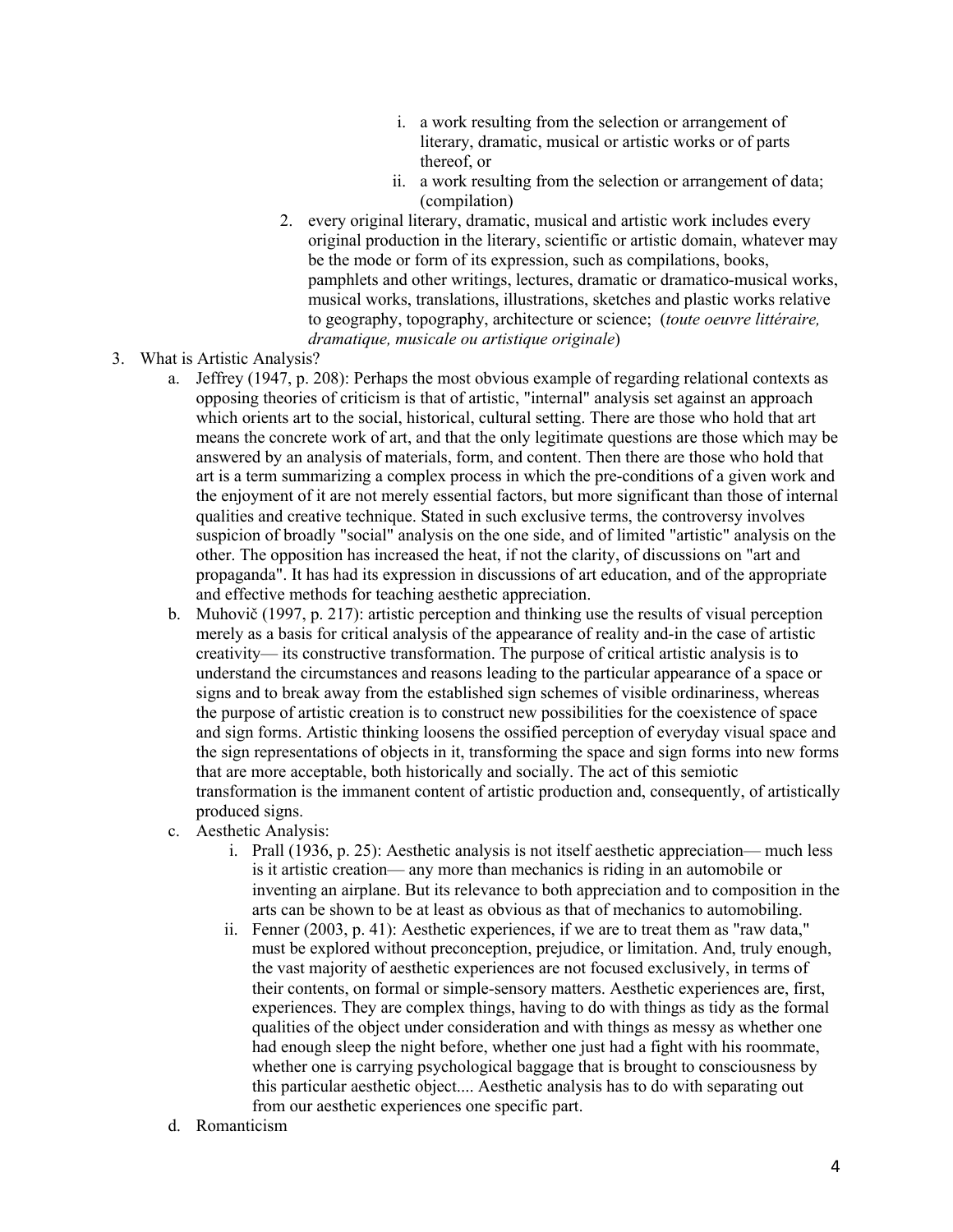- i. a work resulting from the selection or arrangement of literary, dramatic, musical or artistic works or of parts thereof, or
- ii. a work resulting from the selection or arrangement of data; (compilation)
- 2. every original literary, dramatic, musical and artistic work includes every original production in the literary, scientific or artistic domain, whatever may be the mode or form of its expression, such as compilations, books, pamphlets and other writings, lectures, dramatic or dramatico-musical works, musical works, translations, illustrations, sketches and plastic works relative to geography, topography, architecture or science; (*toute oeuvre littéraire, dramatique, musicale ou artistique originale*)
- 3. What is Artistic Analysis?
	- a. Jeffrey (1947, p. 208): Perhaps the most obvious example of regarding relational contexts as opposing theories of criticism is that of artistic, "internal" analysis set against an approach which orients art to the social, historical, cultural setting. There are those who hold that art means the concrete work of art, and that the only legitimate questions are those which may be answered by an analysis of materials, form, and content. Then there are those who hold that art is a term summarizing a complex process in which the pre-conditions of a given work and the enjoyment of it are not merely essential factors, but more significant than those of internal qualities and creative technique. Stated in such exclusive terms, the controversy involves suspicion of broadly "social" analysis on the one side, and of limited "artistic" analysis on the other. The opposition has increased the heat, if not the clarity, of discussions on "art and propaganda". It has had its expression in discussions of art education, and of the appropriate and effective methods for teaching aesthetic appreciation.
	- b. Muhovič (1997, p. 217): artistic perception and thinking use the results of visual perception merely as a basis for critical analysis of the appearance of reality and-in the case of artistic creativity— its constructive transformation. The purpose of critical artistic analysis is to understand the circumstances and reasons leading to the particular appearance of a space or signs and to break away from the established sign schemes of visible ordinariness, whereas the purpose of artistic creation is to construct new possibilities for the coexistence of space and sign forms. Artistic thinking loosens the ossified perception of everyday visual space and the sign representations of objects in it, transforming the space and sign forms into new forms that are more acceptable, both historically and socially. The act of this semiotic transformation is the immanent content of artistic production and, consequently, of artistically produced signs.
	- c. Aesthetic Analysis:
		- i. Prall (1936, p. 25): Aesthetic analysis is not itself aesthetic appreciation— much less is it artistic creation— any more than mechanics is riding in an automobile or inventing an airplane. But its relevance to both appreciation and to composition in the arts can be shown to be at least as obvious as that of mechanics to automobiling.
		- ii. Fenner (2003, p. 41): Aesthetic experiences, if we are to treat them as "raw data," must be explored without preconception, prejudice, or limitation. And, truly enough, the vast majority of aesthetic experiences are not focused exclusively, in terms of their contents, on formal or simple-sensory matters. Aesthetic experiences are, first, experiences. They are complex things, having to do with things as tidy as the formal qualities of the object under consideration and with things as messy as whether one had enough sleep the night before, whether one just had a fight with his roommate, whether one is carrying psychological baggage that is brought to consciousness by this particular aesthetic object.... Aesthetic analysis has to do with separating out from our aesthetic experiences one specific part.
	- d. Romanticism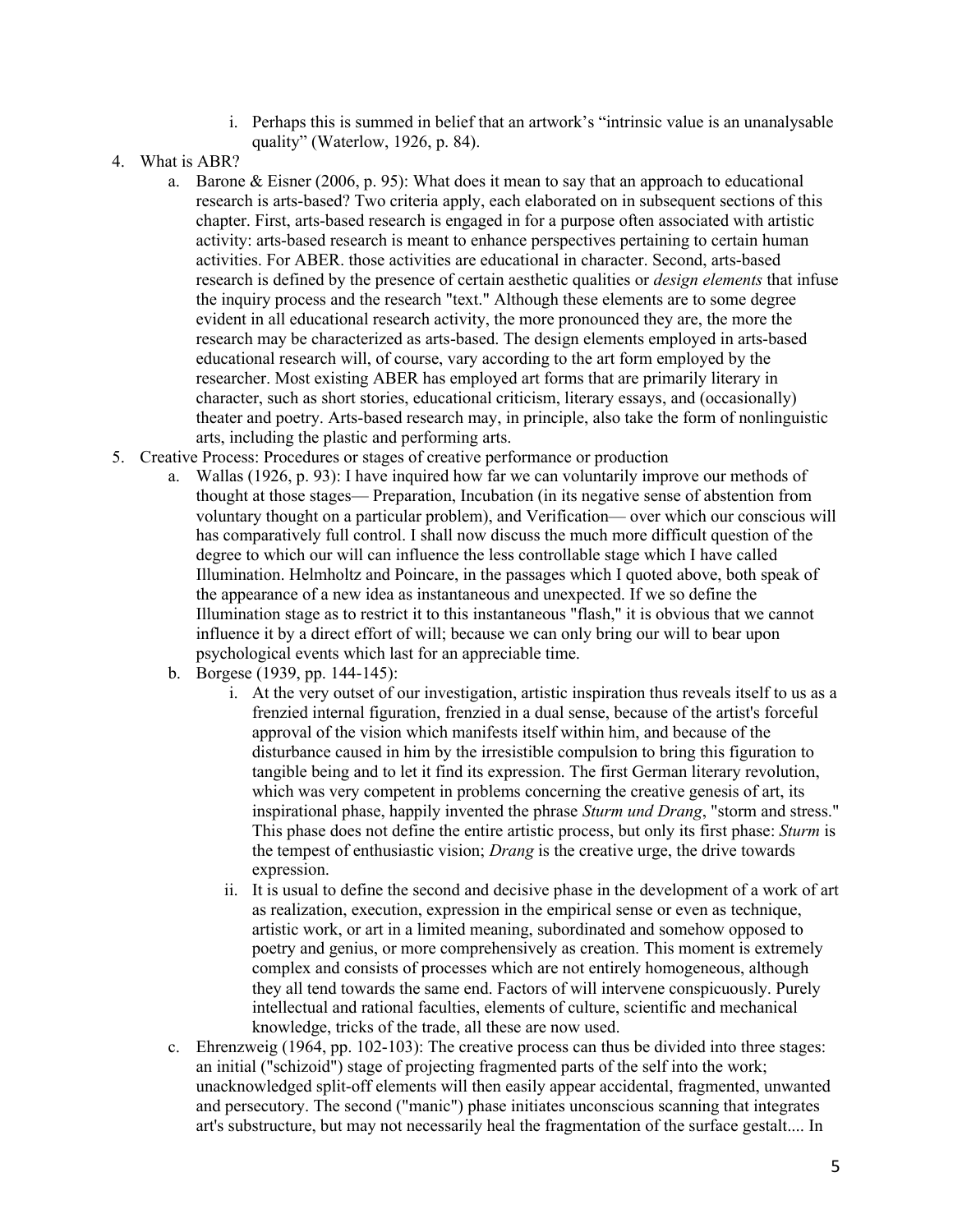- i. Perhaps this is summed in belief that an artwork's "intrinsic value is an unanalysable quality" (Waterlow, 1926, p. 84).
- 4. What is ABR?
	- a. Barone & Eisner (2006, p. 95): What does it mean to say that an approach to educational research is arts-based? Two criteria apply, each elaborated on in subsequent sections of this chapter. First, arts-based research is engaged in for a purpose often associated with artistic activity: arts-based research is meant to enhance perspectives pertaining to certain human activities. For ABER. those activities are educational in character. Second, arts-based research is defined by the presence of certain aesthetic qualities or *design elements* that infuse the inquiry process and the research "text." Although these elements are to some degree evident in all educational research activity, the more pronounced they are, the more the research may be characterized as arts-based. The design elements employed in arts-based educational research will, of course, vary according to the art form employed by the researcher. Most existing ABER has employed art forms that are primarily literary in character, such as short stories, educational criticism, literary essays, and (occasionally) theater and poetry. Arts-based research may, in principle, also take the form of nonlinguistic arts, including the plastic and performing arts.
- 5. Creative Process: Procedures or stages of creative performance or production
	- a. Wallas (1926, p. 93): I have inquired how far we can voluntarily improve our methods of thought at those stages— Preparation, Incubation (in its negative sense of abstention from voluntary thought on a particular problem), and Verification— over which our conscious will has comparatively full control. I shall now discuss the much more difficult question of the degree to which our will can influence the less controllable stage which I have called Illumination. Helmholtz and Poincare, in the passages which I quoted above, both speak of the appearance of a new idea as instantaneous and unexpected. If we so define the Illumination stage as to restrict it to this instantaneous "flash," it is obvious that we cannot influence it by a direct effort of will; because we can only bring our will to bear upon psychological events which last for an appreciable time.
	- b. Borgese (1939, pp. 144-145):
		- i. At the very outset of our investigation, artistic inspiration thus reveals itself to us as a frenzied internal figuration, frenzied in a dual sense, because of the artist's forceful approval of the vision which manifests itself within him, and because of the disturbance caused in him by the irresistible compulsion to bring this figuration to tangible being and to let it find its expression. The first German literary revolution, which was very competent in problems concerning the creative genesis of art, its inspirational phase, happily invented the phrase *Sturm und Drang*, "storm and stress." This phase does not define the entire artistic process, but only its first phase: *Sturm* is the tempest of enthusiastic vision; *Drang* is the creative urge, the drive towards expression.
		- ii. It is usual to define the second and decisive phase in the development of a work of art as realization, execution, expression in the empirical sense or even as technique, artistic work, or art in a limited meaning, subordinated and somehow opposed to poetry and genius, or more comprehensively as creation. This moment is extremely complex and consists of processes which are not entirely homogeneous, although they all tend towards the same end. Factors of will intervene conspicuously. Purely intellectual and rational faculties, elements of culture, scientific and mechanical knowledge, tricks of the trade, all these are now used.
	- c. Ehrenzweig (1964, pp. 102-103): The creative process can thus be divided into three stages: an initial ("schizoid") stage of projecting fragmented parts of the self into the work; unacknowledged split-off elements will then easily appear accidental, fragmented, unwanted and persecutory. The second ("manic") phase initiates unconscious scanning that integrates art's substructure, but may not necessarily heal the fragmentation of the surface gestalt.... In